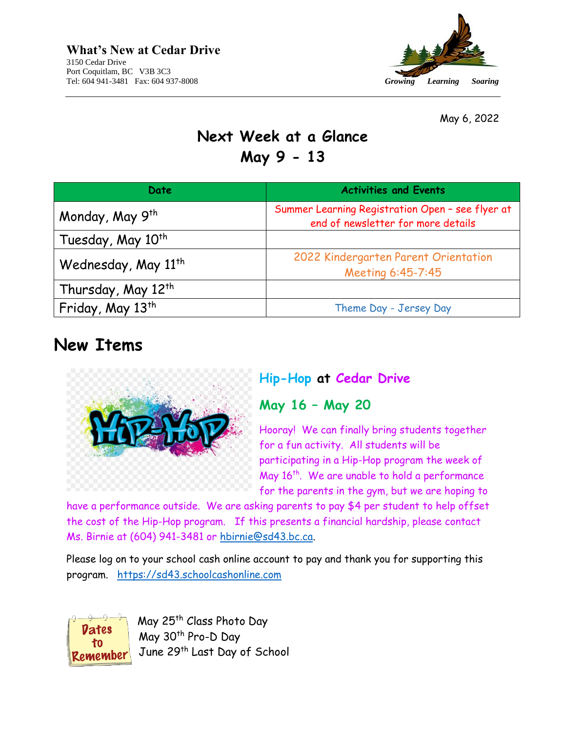

May 6, 2022

## **Next Week at a Glance May 9 - 13**

| Date                            | <b>Activities and Events</b>                                                           |
|---------------------------------|----------------------------------------------------------------------------------------|
| Monday, May 9th                 | Summer Learning Registration Open - see flyer at<br>end of newsletter for more details |
| Tuesday, May 10 <sup>th</sup>   |                                                                                        |
| Wednesday, May 11 <sup>th</sup> | 2022 Kindergarten Parent Orientation<br>Meeting 6:45-7:45                              |
| Thursday, May 12 <sup>th</sup>  |                                                                                        |
| Friday, May 13 <sup>th</sup>    | Theme Day - Jersey Day                                                                 |

## **New Items**



### **Hip-Hop at Cedar Drive**

### **May 16 – May 20**

Hooray! We can finally bring students together for a fun activity. All students will be participating in a Hip-Hop program the week of May 16<sup>th</sup>. We are unable to hold a performance for the parents in the gym, but we are hoping to

have a performance outside. We are asking parents to pay \$4 per student to help offset the cost of the Hip-Hop program. If this presents a financial hardship, please contact Ms. Birnie at (604) 941-3481 or [hbirnie@sd43.bc.ca.](mailto:hbirnie@sd43.bc.ca)

Please log on to your school cash online account to pay and thank you for supporting this program. [https://sd43.schoolcashonline.com](https://sd43.schoolcashonline.com/)

Dates  $10<sub>1</sub>$ Remember May 25<sup>th</sup> Class Photo Day May 30<sup>th</sup> Pro-D Day June 29th Last Day of School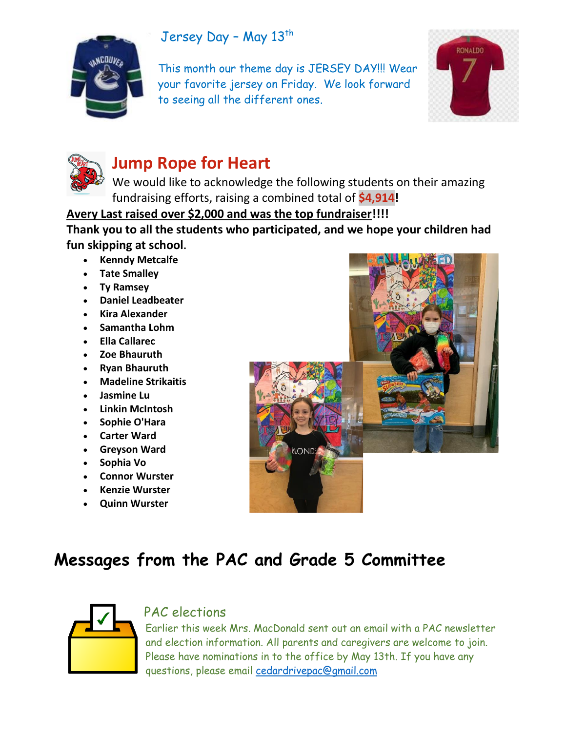### Jersey Day - May 13th



This month our theme day is JERSEY DAY!!! Wear your favorite jersey on Friday. We look forward to seeing all the different ones.





# **Jump Rope for Heart**

We would like to acknowledge the following students on their amazing fundraising efforts, raising a combined total of **\$4,914!**

#### **Avery Last raised over \$2,000 and was the top fundraiser!!!!**

**Thank you to all the students who participated, and we hope your children had fun skipping at school.**

- **Kenndy Metcalfe**
- **Tate Smalley**
- **Ty Ramsey**
- **Daniel Leadbeater**
- **Kira Alexander**
- **Samantha Lohm**
- **Ella Callarec**
- **Zoe Bhauruth**
- **Ryan Bhauruth**
- **Madeline Strikaitis**
- **Jasmine Lu**
- **Linkin McIntosh**
- **Sophie O'Hara**
- **Carter Ward**
- **Greyson Ward**
- **Sophia Vo**
- **Connor Wurster**
- **Kenzie Wurster**
- **Quinn Wurster**



# **Messages from the PAC and Grade 5 Committee**



### PAC elections

Earlier this week Mrs. MacDonald sent out an email with a PAC newsletter and election information. All parents and caregivers are welcome to join. Please have nominations in to the office by May 13th. If you have any questions, please email [cedardrivepac@gmail.com](mailto:cedardrivepac@gmail.com)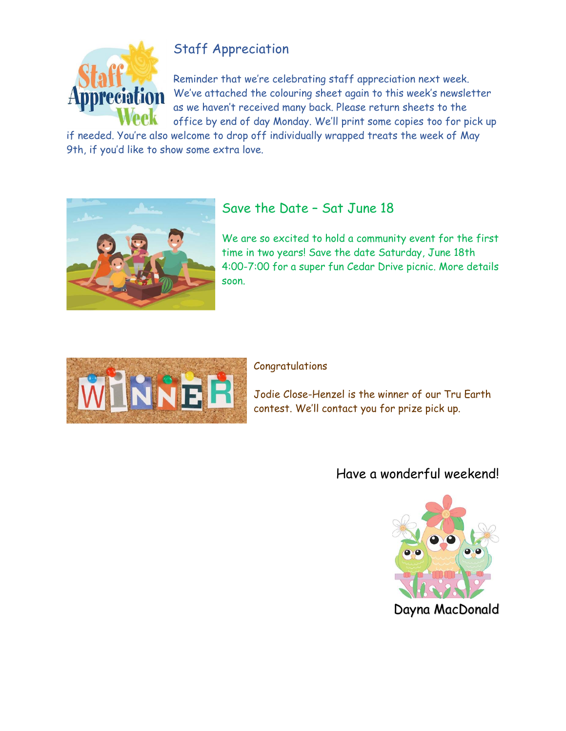

## Staff Appreciation

Reminder that we're celebrating staff appreciation next week. We've attached the colouring sheet again to this week's newsletter as we haven't received many back. Please return sheets to the office by end of day Monday. We'll print some copies too for pick up

if needed. You're also welcome to drop off individually wrapped treats the week of May 9th, if you'd like to show some extra love.



### Save the Date – Sat June 18

We are so excited to hold a community event for the first time in two years! Save the date Saturday, June 18th 4:00-7:00 for a super fun Cedar Drive picnic. More details soon.



#### Congratulations

Jodie Close-Henzel is the winner of our Tru Earth contest. We'll contact you for prize pick up.

### Have a wonderful weekend!